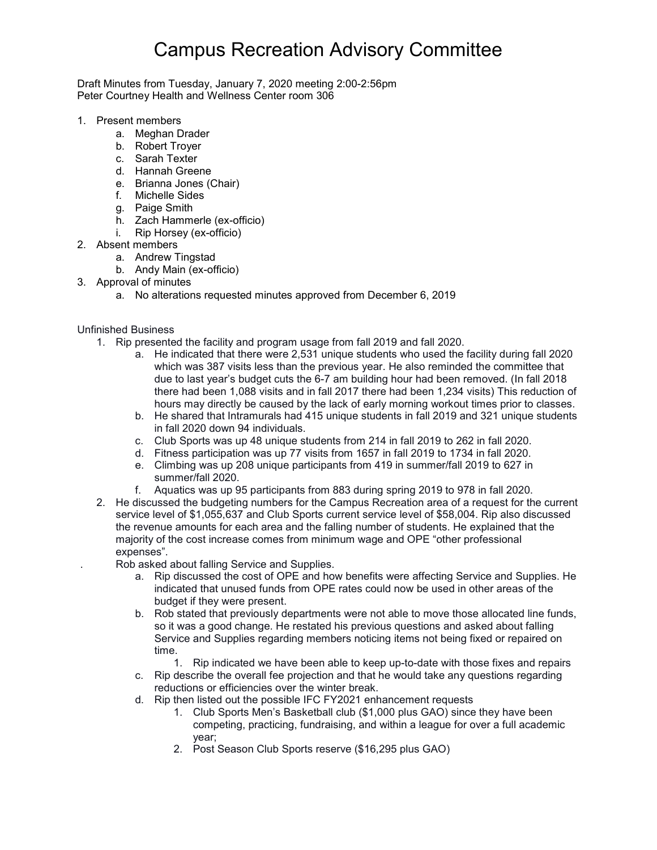## Campus Recreation Advisory Committee

Draft Minutes from Tuesday, January 7, 2020 meeting 2:00-2:56pm Peter Courtney Health and Wellness Center room 306

- 1. Present members
	- a. Meghan Drader
	- b. Robert Troyer
	- c. Sarah Texter
	- d. Hannah Greene
	- e. Brianna Jones (Chair)
	- f. Michelle Sides
	- g. Paige Smith
	- h. Zach Hammerle (ex-officio)
	- i. Rip Horsey (ex-officio)
- 2. Absent members
	- a. Andrew Tingstad
	- b. Andy Main (ex-officio)
- 3. Approval of minutes
	- a. No alterations requested minutes approved from December 6, 2019

Unfinished Business

- 1. Rip presented the facility and program usage from fall 2019 and fall 2020.
	- a. He indicated that there were 2,531 unique students who used the facility during fall 2020 which was 387 visits less than the previous year. He also reminded the committee that due to last year's budget cuts the 6-7 am building hour had been removed. (In fall 2018 there had been 1,088 visits and in fall 2017 there had been 1,234 visits) This reduction of hours may directly be caused by the lack of early morning workout times prior to classes.
	- b. He shared that Intramurals had 415 unique students in fall 2019 and 321 unique students in fall 2020 down 94 individuals.
	- c. Club Sports was up 48 unique students from 214 in fall 2019 to 262 in fall 2020.
	- d. Fitness participation was up 77 visits from 1657 in fall 2019 to 1734 in fall 2020.
	- e. Climbing was up 208 unique participants from 419 in summer/fall 2019 to 627 in summer/fall 2020.
	- f. Aquatics was up 95 participants from 883 during spring 2019 to 978 in fall 2020.
- 2. He discussed the budgeting numbers for the Campus Recreation area of a request for the current service level of \$1,055,637 and Club Sports current service level of \$58,004. Rip also discussed the revenue amounts for each area and the falling number of students. He explained that the majority of the cost increase comes from minimum wage and OPE "other professional expenses".
	- . Rob asked about falling Service and Supplies.
		- a. Rip discussed the cost of OPE and how benefits were affecting Service and Supplies. He indicated that unused funds from OPE rates could now be used in other areas of the budget if they were present.
		- b. Rob stated that previously departments were not able to move those allocated line funds, so it was a good change. He restated his previous questions and asked about falling Service and Supplies regarding members noticing items not being fixed or repaired on time.
			- 1. Rip indicated we have been able to keep up-to-date with those fixes and repairs
		- c. Rip describe the overall fee projection and that he would take any questions regarding reductions or efficiencies over the winter break.
		- d. Rip then listed out the possible IFC FY2021 enhancement requests
			- 1. Club Sports Men's Basketball club (\$1,000 plus GAO) since they have been competing, practicing, fundraising, and within a league for over a full academic year;
			- 2. Post Season Club Sports reserve (\$16,295 plus GAO)